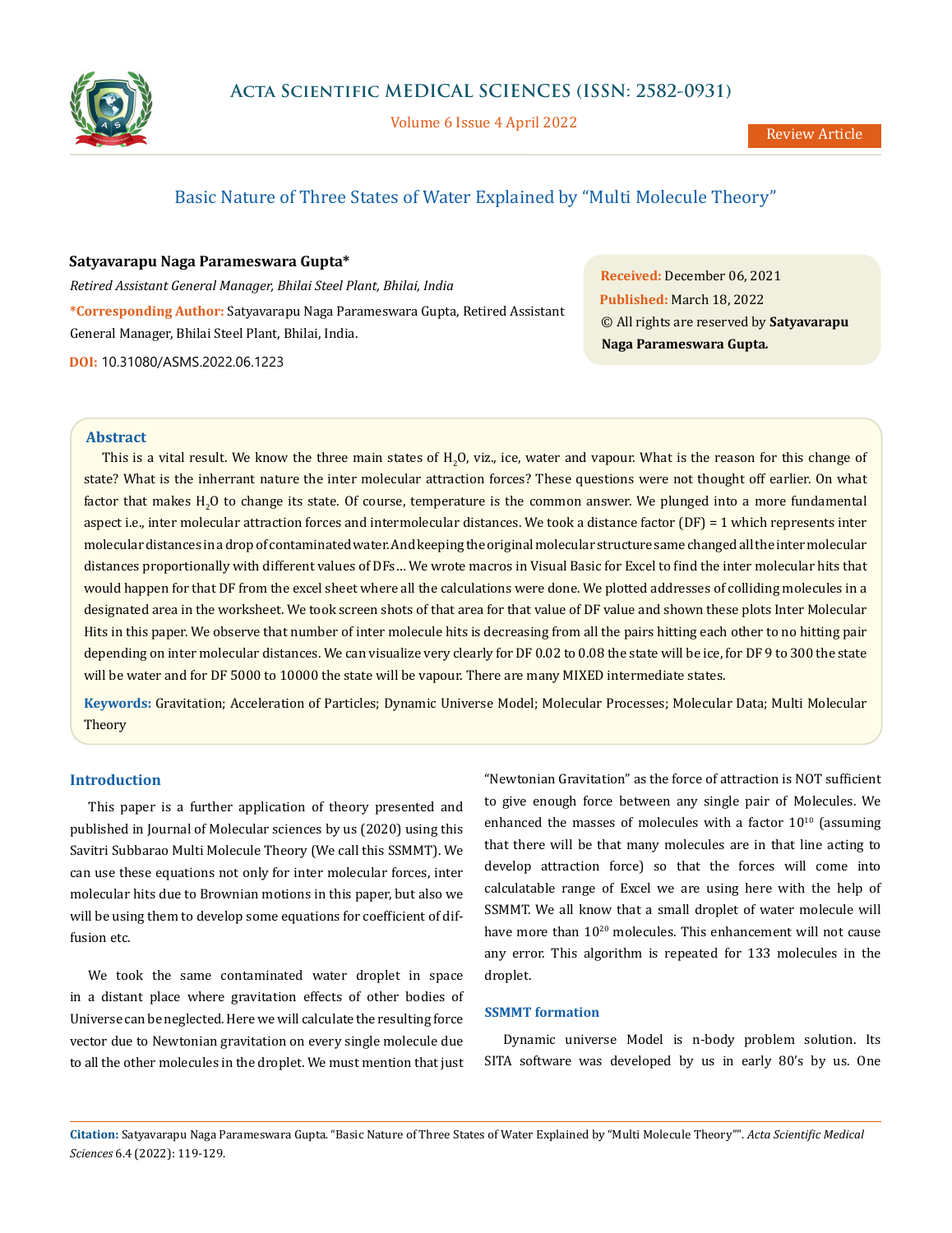

Volume 6 Issue 4 April 2022

# Basic Nature of Three States of Water Explained by "Multi Molecule Theory"

## **Satyavarapu Naga Parameswara Gupta\***

*Retired Assistant General Manager, Bhilai Steel Plant, Bhilai, India* **\*Corresponding Author:** Satyavarapu Naga Parameswara Gupta, Retired Assistant General Manager, Bhilai Steel Plant, Bhilai, India.

**DOI:** [10.31080/ASMS.2022.06.1223](http://actascientific.com/ASMS/pdf/ASMS-06-1223.pdf)

**Received:** December 06, 2021 **Published:** March 18, 2022 © All rights are reserved by **Satyavarapu Naga Parameswara Gupta***.*

#### **Abstract**

This is a vital result. We know the three main states of  $H_2O$ , viz., ice, water and vapour. What is the reason for this change of state? What is the inherrant nature the inter molecular attraction forces? These questions were not thought off earlier. On what factor that makes  $H_2O$  to change its state. Of course, temperature is the common answer. We plunged into a more fundamental aspect i.e., inter molecular attraction forces and intermolecular distances. We took a distance factor (DF) = 1 which represents inter molecular distances in a drop of contaminated water. And keeping the original molecular structure same changed all the inter molecular distances proportionally with different values of DFs… We wrote macros in Visual Basic for Excel to find the inter molecular hits that would happen for that DF from the excel sheet where all the calculations were done. We plotted addresses of colliding molecules in a designated area in the worksheet. We took screen shots of that area for that value of DF value and shown these plots Inter Molecular Hits in this paper. We observe that number of inter molecule hits is decreasing from all the pairs hitting each other to no hitting pair depending on inter molecular distances. We can visualize very clearly for DF 0.02 to 0.08 the state will be ice, for DF 9 to 300 the state will be water and for DF 5000 to 10000 the state will be vapour. There are many MIXED intermediate states.

**Keywords:** Gravitation; Acceleration of Particles; Dynamic Universe Model; Molecular Processes; Molecular Data; Multi Molecular **Theory** 

### **Introduction**

This paper is a further application of theory presented and published in Journal of Molecular sciences by us (2020) using this Savitri Subbarao Multi Molecule Theory (We call this SSMMT). We can use these equations not only for inter molecular forces, inter molecular hits due to Brownian motions in this paper, but also we will be using them to develop some equations for coefficient of diffusion etc.

We took the same contaminated water droplet in space in a distant place where gravitation effects of other bodies of Universe can be neglected. Here we will calculate the resulting force vector due to Newtonian gravitation on every single molecule due to all the other molecules in the droplet. We must mention that just "Newtonian Gravitation" as the force of attraction is NOT sufficient to give enough force between any single pair of Molecules. We enhanced the masses of molecules with a factor  $10^{10}$  (assuming that there will be that many molecules are in that line acting to develop attraction force) so that the forces will come into calculatable range of Excel we are using here with the help of SSMMT. We all know that a small droplet of water molecule will have more than 10<sup>20</sup> molecules. This enhancement will not cause any error. This algorithm is repeated for 133 molecules in the droplet.

### **SSMMT formation**

Dynamic universe Model is n-body problem solution. Its SITA software was developed by us in early 80's by us. One

**Citation:** Satyavarapu Naga Parameswara Gupta*.* "Basic Nature of Three States of Water Explained by "Multi Molecule Theory"". *Acta Scientific Medical Sciences* 6.4 (2022): 119-129.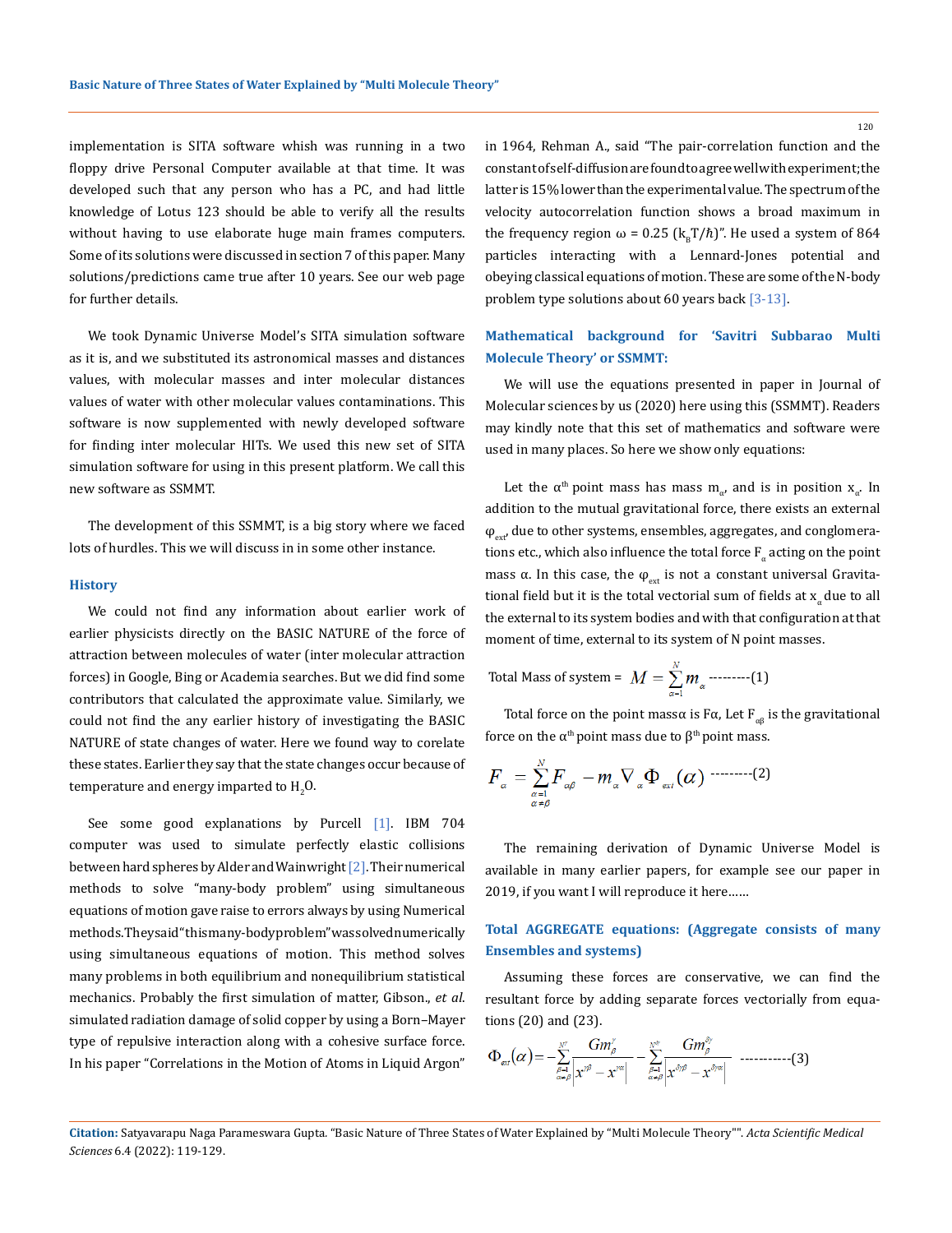implementation is SITA software whish was running in a two floppy drive Personal Computer available at that time. It was developed such that any person who has a PC, and had little knowledge of Lotus 123 should be able to verify all the results without having to use elaborate huge main frames computers. Some of its solutions were discussed in section 7 of this paper. Many solutions/predictions came true after 10 years. See our web page for further details.

We took Dynamic Universe Model's SITA simulation software as it is, and we substituted its astronomical masses and distances values, with molecular masses and inter molecular distances values of water with other molecular values contaminations. This software is now supplemented with newly developed software for finding inter molecular HITs. We used this new set of SITA simulation software for using in this present platform. We call this new software as SSMMT.

The development of this SSMMT, is a big story where we faced lots of hurdles. This we will discuss in in some other instance.

#### **History**

We could not find any information about earlier work of earlier physicists directly on the BASIC NATURE of the force of attraction between molecules of water (inter molecular attraction forces) in Google, Bing or Academia searches. But we did find some contributors that calculated the approximate value. Similarly, we could not find the any earlier history of investigating the BASIC NATURE of state changes of water. Here we found way to corelate these states. Earlier they say that the state changes occur because of temperature and energy imparted to  $\text{H}_{2}\text{O}$ .

See some good explanations by Purcell [1]. IBM 704 computer was used to simulate perfectly elastic collisions between hard spheres by Alder and Wainwright [2]. Their numerical methods to solve "many-body problem" using simultaneous equations of motion gave raise to errors always by using Numerical methods. They said " this many-body problem" was solved numerically using simultaneous equations of motion. This method solves many problems in both equilibrium and nonequilibrium statistical mechanics. Probably the first simulation of matter, Gibson., *et al*. simulated radiation damage of solid [copper](https://en.wikipedia.org/wiki/Copper) by using a Born–Mayer type of repulsive interaction along with a cohesive surface force. In his paper "Correlations in the Motion of Atoms in Liquid Argon" in 1964, Rehman A., said "The pair-correlation function and the constant of self-diffusion are found to agree well with experiment; the latter is 15% lower than the experimental value. The spectrum of the velocity autocorrelation function shows a broad maximum in the frequency region  $\omega = 0.25$  (k<sub>n</sub>T/ $\hbar$ )". He used a system of 864 particles interacting with a Lennard-Jones potential and obeying classical equations of motion. These are some of the N-body problem type solutions about 60 years back [3-13].

## **Mathematical background for 'Savitri Subbarao Multi Molecule Theory' or SSMMT:**

We will use the equations presented in paper in Journal of Molecular sciences by us (2020) here using this (SSMMT). Readers may kindly note that this set of mathematics and software were used in many places. So here we show only equations:

Let the  $\alpha^{th}$  point mass has mass m<sub>α</sub>, and is in position x<sub>α</sub>. In addition to the mutual gravitational force, there exists an external  $\varphi_{\text{ext}}$ , due to other systems, ensembles, aggregates, and conglomerations etc., which also influence the total force  $F_{\alpha}$  acting on the point mass α. In this case, the  $φ_{ext}$  is not a constant universal Gravitational field but it is the total vectorial sum of fields at  $x_{\alpha}$  due to all the external to its system bodies and with that configuration at that moment of time, external to its system of N point masses.

Total Mass of system =  $M = \sum_{\alpha=1}^{N} m_{\alpha}$  ---------(1)

Total force on the point massa is Fa, Let  $F_{\alpha\beta}$  is the gravitational force on the  $\alpha$ <sup>th</sup> point mass due to  $\beta$ <sup>th</sup> point mass.

$$
F_{\alpha} = \sum_{\substack{\alpha=1\\ \alpha \neq \beta}}^N F_{\alpha\beta} - m_{\alpha} \nabla_{\alpha} \Phi_{\alpha\alpha}(\alpha) \cdots \cdots \cdots \cdots (2)
$$

The remaining derivation of Dynamic Universe Model is available in many earlier papers, for example see our paper in 2019, if you want I will reproduce it here……

# **Total AGGREGATE equations: (Aggregate consists of many Ensembles and systems)**

Assuming these forces are conservative, we can find the resultant force by adding separate forces vectorially from equations (20) and (23).

$$
\Phi_{\text{ext}}(\alpha) = -\sum_{\beta=1 \atop \alpha \neq \beta}^{N^{\gamma}} \frac{Gm_{\beta}^{\gamma}}{|x^{\gamma \beta} - x^{\gamma \alpha}|} - \sum_{\beta=1 \atop \alpha \neq \beta}^{N^{\phi}} \frac{Gm_{\beta}^{\beta \gamma}}{|x^{\delta \gamma \beta} - x^{\delta \gamma \alpha}|} \quad \dots \dots \dots \dots \tag{3}
$$

**Citation:** Satyavarapu Naga Parameswara Gupta*.* "Basic Nature of Three States of Water Explained by "Multi Molecule Theory"". *Acta Scientific Medical Sciences* 6.4 (2022): 119-129.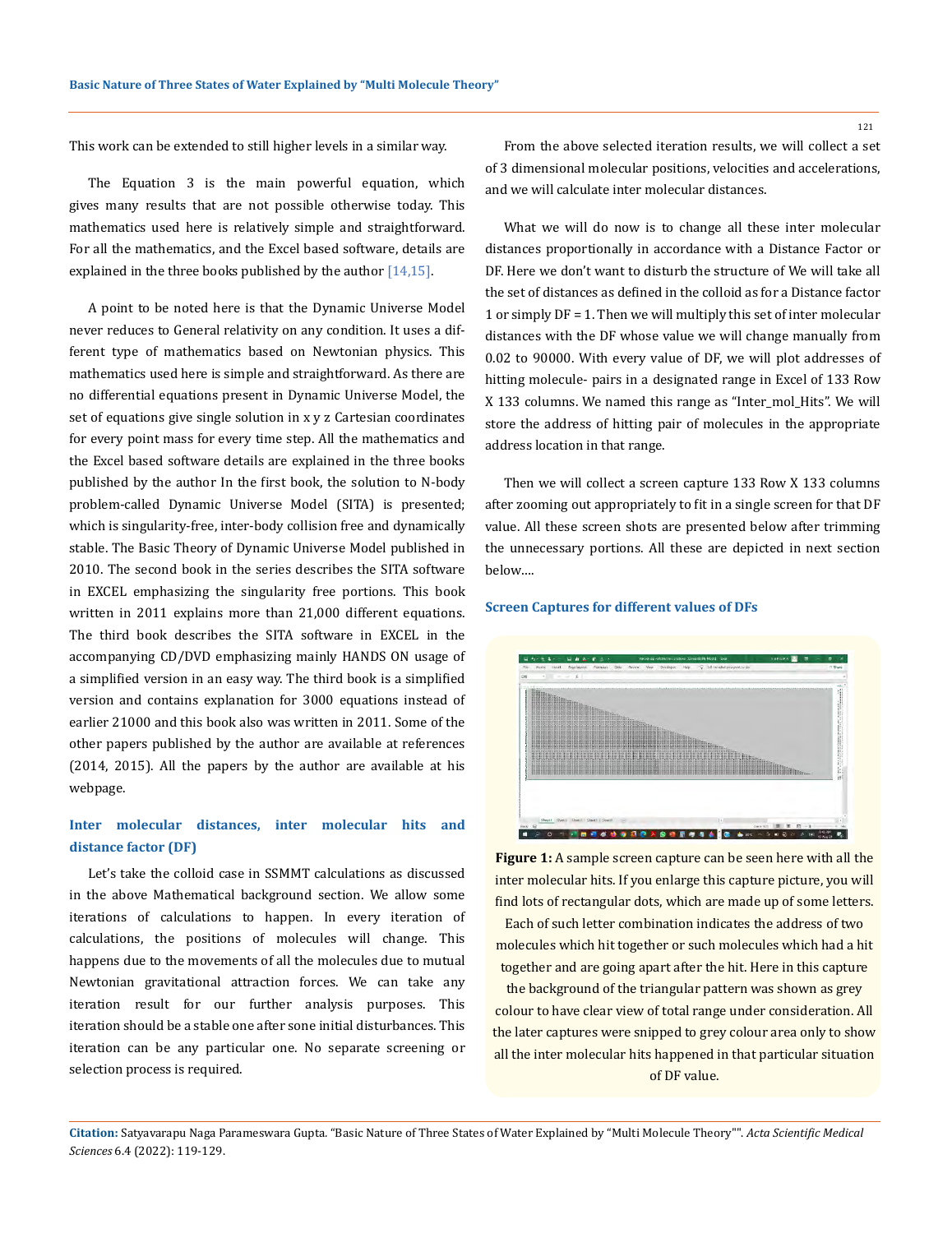This work can be extended to still higher levels in a similar way.

The Equation 3 is the main powerful equation, which gives many results that are not possible otherwise today. This mathematics used here is relatively simple and straightforward. For all the mathematics, and the Excel based software, details are explained in the three books published by the author [14,15].

A point to be noted here is that the Dynamic Universe Model never reduces to General relativity on any condition. It uses a different type of mathematics based on Newtonian physics. This mathematics used here is simple and straightforward. As there are no differential equations present in Dynamic Universe Model, the set of equations give single solution in x y z Cartesian coordinates for every point mass for every time step. All the mathematics and the Excel based software details are explained in the three books published by the author In the first book, the solution to N-body problem-called Dynamic Universe Model (SITA) is presented; which is singularity-free, inter-body collision free and dynamically stable. The Basic Theory of Dynamic Universe Model published in 2010. The second book in the series describes the SITA software in EXCEL emphasizing the singularity free portions. This book written in 2011 explains more than 21,000 different equations. The third book describes the SITA software in EXCEL in the accompanying CD/DVD emphasizing mainly HANDS ON usage of a simplified version in an easy way. The third book is a simplified version and contains explanation for 3000 equations instead of earlier 21000 and this book also was written in 2011. Some of the other papers published by the author are available at references (2014, 2015). All the papers by the author are available at his webpage.

# **Inter molecular distances, inter molecular hits and distance factor (DF)**

Let's take the colloid case in SSMMT calculations as discussed in the above Mathematical background section. We allow some iterations of calculations to happen. In every iteration of calculations, the positions of molecules will change. This happens due to the movements of all the molecules due to mutual Newtonian gravitational attraction forces. We can take any iteration result for our further analysis purposes. This iteration should be a stable one after sone initial disturbances. This iteration can be any particular one. No separate screening or selection process is required.

From the above selected iteration results, we will collect a set of 3 dimensional molecular positions, velocities and accelerations, and we will calculate inter molecular distances.

What we will do now is to change all these inter molecular distances proportionally in accordance with a Distance Factor or DF. Here we don't want to disturb the structure of We will take all the set of distances as defined in the colloid as for a Distance factor 1 or simply DF = 1. Then we will multiply this set of inter molecular distances with the DF whose value we will change manually from 0.02 to 90000. With every value of DF, we will plot addresses of hitting molecule- pairs in a designated range in Excel of 133 Row X 133 columns. We named this range as "Inter\_mol\_Hits". We will store the address of hitting pair of molecules in the appropriate address location in that range.

Then we will collect a screen capture 133 Row X 133 columns after zooming out appropriately to fit in a single screen for that DF value. All these screen shots are presented below after trimming the unnecessary portions. All these are depicted in next section below….

#### **Screen Captures for different values of DFs**



**Figure 1:** A sample screen capture can be seen here with all the inter molecular hits. If you enlarge this capture picture, you will find lots of rectangular dots, which are made up of some letters. Each of such letter combination indicates the address of two molecules which hit together or such molecules which had a hit together and are going apart after the hit. Here in this capture the background of the triangular pattern was shown as grey colour to have clear view of total range under consideration. All the later captures were snipped to grey colour area only to show

all the inter molecular hits happened in that particular situation of DF value.

**Citation:** Satyavarapu Naga Parameswara Gupta*.* "Basic Nature of Three States of Water Explained by "Multi Molecule Theory"". *Acta Scientific Medical Sciences* 6.4 (2022): 119-129.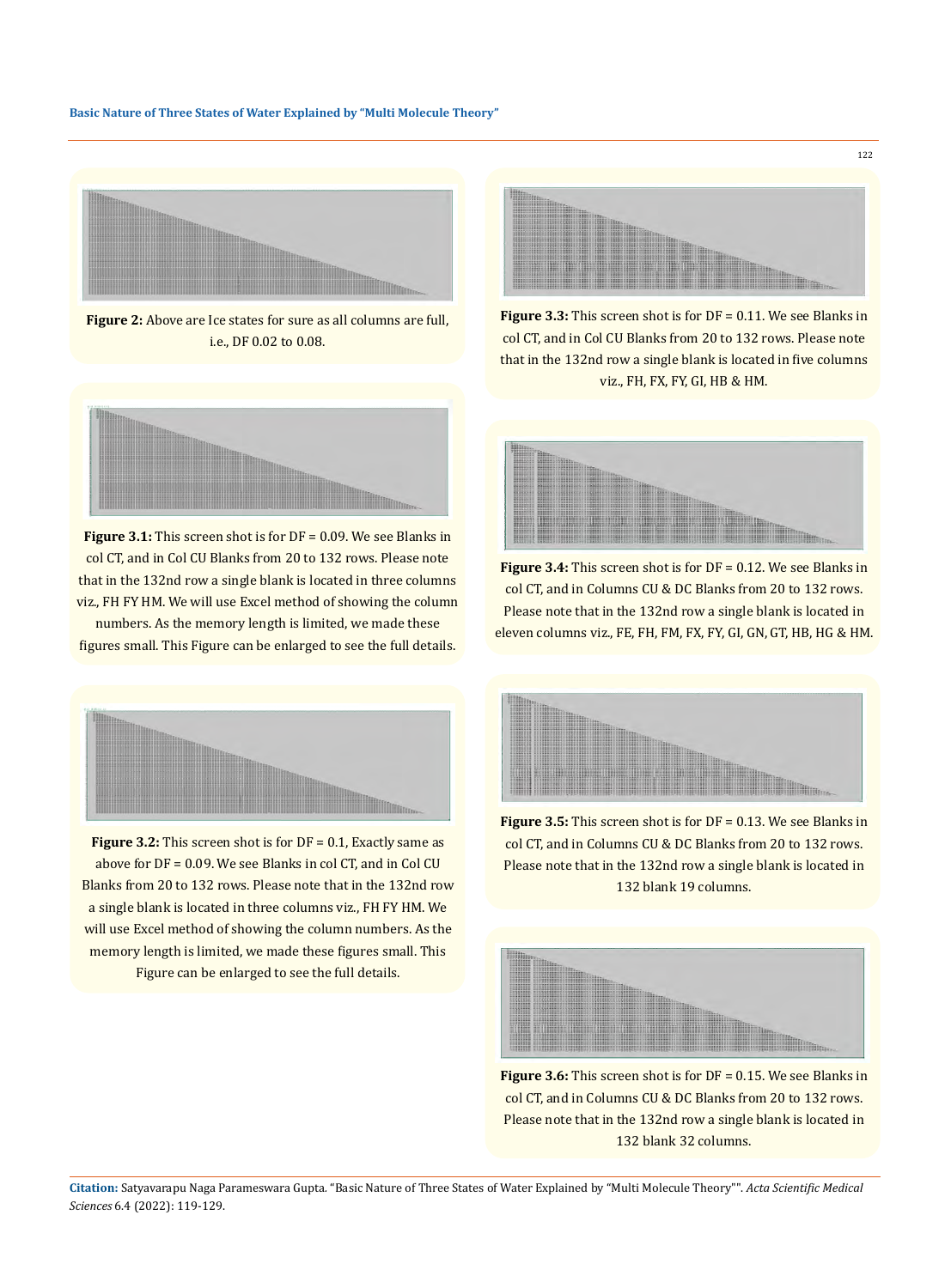#### **Basic Nature of Three States of Water Explained by "Multi Molecule Theory"**



**Figure 2:** Above are Ice states for sure as all columns are full, i.e., DF 0.02 to 0.08.



122

**Figure 3.3:** This screen shot is for DF = 0.11. We see Blanks in col CT, and in Col CU Blanks from 20 to 132 rows. Please note that in the 132nd row a single blank is located in five columns viz., FH, FX, FY, GI, HB & HM.



**Figure 3.1:** This screen shot is for DF = 0.09. We see Blanks in col CT, and in Col CU Blanks from 20 to 132 rows. Please note that in the 132nd row a single blank is located in three columns viz., FH FY HM. We will use Excel method of showing the column

numbers. As the memory length is limited, we made these figures small. This Figure can be enlarged to see the full details.



**Figure 3.2:** This screen shot is for DF = 0.1, Exactly same as above for DF = 0.09. We see Blanks in col CT, and in Col CU Blanks from 20 to 132 rows. Please note that in the 132nd row a single blank is located in three columns viz., FH FY HM. We will use Excel method of showing the column numbers. As the memory length is limited, we made these figures small. This Figure can be enlarged to see the full details.



**Figure 3.4:** This screen shot is for DF = 0.12. We see Blanks in col CT, and in Columns CU & DC Blanks from 20 to 132 rows. Please note that in the 132nd row a single blank is located in eleven columns viz., FE, FH, FM, FX, FY, GI, GN, GT, HB, HG & HM.



**Figure 3.5:** This screen shot is for DF = 0.13. We see Blanks in col CT, and in Columns CU & DC Blanks from 20 to 132 rows. Please note that in the 132nd row a single blank is located in 132 blank 19 columns.



**Figure 3.6:** This screen shot is for DF = 0.15. We see Blanks in col CT, and in Columns CU & DC Blanks from 20 to 132 rows. Please note that in the 132nd row a single blank is located in 132 blank 32 columns.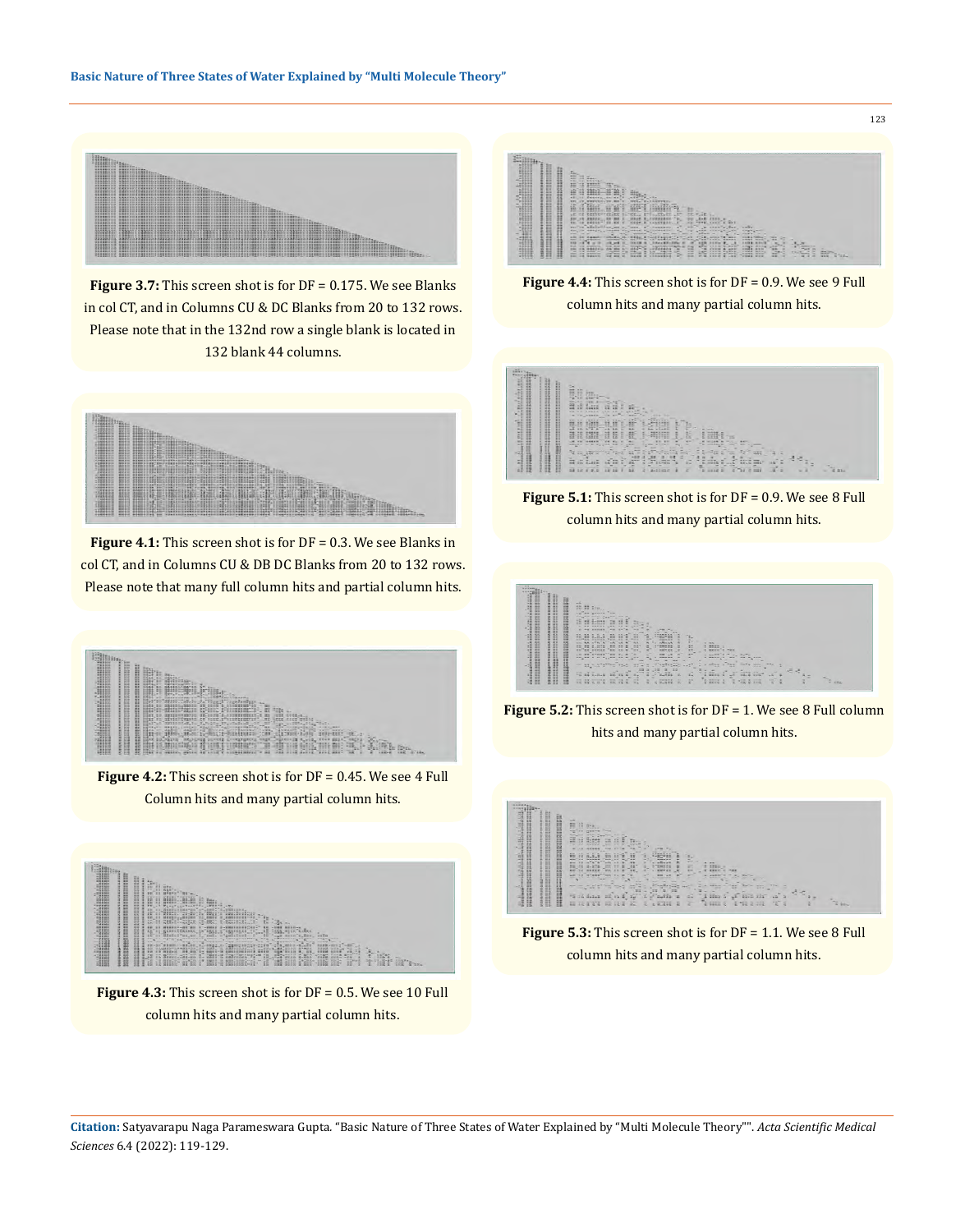

**Figure 3.7:** This screen shot is for DF = 0.175. We see Blanks in col CT, and in Columns CU & DC Blanks from 20 to 132 rows. Please note that in the 132nd row a single blank is located in 132 blank 44 columns.



**Figure 4.1:** This screen shot is for DF = 0.3. We see Blanks in col CT, and in Columns CU & DB DC Blanks from 20 to 132 rows. Please note that many full column hits and partial column hits.



**Figure 4.2:** This screen shot is for DF = 0.45. We see 4 Full Column hits and many partial column hits.



**Figure 4.3:** This screen shot is for DF = 0.5. We see 10 Full column hits and many partial column hits.

| $19 - 19 - 19$<br>Ξ<br>Ħ<br>$\mathcal{L}_{\mathcal{M}}$<br>æ<br>m<br>٠<br>まい いき<br>в<br>-<br>-<br><b>STATISTICS ALBERT</b><br>71113<br>And cars provided<br>IN HE EN THREE LONGITY "C" CO.<br>×<br><b>SERE FERT</b><br><b>Contract</b><br><b>Continued by the Continued State</b><br>×<br>清算まさに山<br>vs.<br>FUER & ARD<br>m<br>H<br>m<br>22.73<br>Part 1<br>$\overline{a}$<br>$\equiv$<br>×<br>-48<br>-<br>--<br>--<br>$-20.00$<br>$-$<br><b>Harrison</b><br><b>STATE</b><br><b>King Civ</b><br><b>Card</b><br>s<br>----<br><b>Highway</b><br>----<br><b>Contractor</b><br>2500<br><b>Charles Co.</b><br>丑<br>----<br>m<br><b>E</b> Steason<br>-<br><b>STATISTIC STATISTICS</b><br><b>CONTRACT</b><br>iP.<br>sense come on announce<br>×<br>-----<br><b>XX 88 W</b><br><b>CESSA TOK</b><br>œ<br>э<br><b>SE JE SENSE</b><br>$-$<br>÷<br><b>XAX</b><br><b>BXAZ</b><br>$2-30$<br>$+1115$<br>÷<br>- |
|------------------------------------------------------------------------------------------------------------------------------------------------------------------------------------------------------------------------------------------------------------------------------------------------------------------------------------------------------------------------------------------------------------------------------------------------------------------------------------------------------------------------------------------------------------------------------------------------------------------------------------------------------------------------------------------------------------------------------------------------------------------------------------------------------------------------------------------------------------------------------------------------|
|------------------------------------------------------------------------------------------------------------------------------------------------------------------------------------------------------------------------------------------------------------------------------------------------------------------------------------------------------------------------------------------------------------------------------------------------------------------------------------------------------------------------------------------------------------------------------------------------------------------------------------------------------------------------------------------------------------------------------------------------------------------------------------------------------------------------------------------------------------------------------------------------|

**Figure 4.4:** This screen shot is for DF = 0.9. We see 9 Full column hits and many partial column hits.

| <u>taliaina di</u><br><b>Service</b><br>$\overline{1}$<br>$\sim$<br>E<br>в<br>-<br>Ħ<br>в<br><br><br><br><br><br>н<br><br>m<br>н | <b>Co</b><br>22 27 4<br>He m.<br>in di<br>詳<br>÷<br>s<br>ii-<br>-166<br>E.<br>-<br><b>ARM</b><br><b>HIM</b><br>AP.R<br>MM WH MMMMM<br>w<br>man.<br><b>SHOW</b><br><b>Charles</b><br><b>MAG</b><br>a va pesso<br>۰.<br>-<br>-<br><b>START</b><br>-<br>SERVICE PRODUCTS<br>HH HH HHT<br>š.<br><b>START</b><br>٠<br>4-10722<br>$22 -$<br>÷<br>10.11<br>-<br>÷<br><b>Partie</b><br>$\sim$<br>-<br>-<br>$k = 11.25$<br>$10 - 17272$<br>$2 - 14$<br><b>WA</b><br>$-$<br>÷<br><b>MATTER</b><br>$-1$<br>$\overline{1}$<br><b>Higher</b><br>a=<br><br><b>CHEF</b><br>77.02<br>-------<br>s.<br>٠                                                                                                                                                                                                                                                                                                                                                                                                                                                                                                                                                                                                                                                        |                   |  |
|----------------------------------------------------------------------------------------------------------------------------------|------------------------------------------------------------------------------------------------------------------------------------------------------------------------------------------------------------------------------------------------------------------------------------------------------------------------------------------------------------------------------------------------------------------------------------------------------------------------------------------------------------------------------------------------------------------------------------------------------------------------------------------------------------------------------------------------------------------------------------------------------------------------------------------------------------------------------------------------------------------------------------------------------------------------------------------------------------------------------------------------------------------------------------------------------------------------------------------------------------------------------------------------------------------------------------------------------------------------------------------------|-------------------|--|
| <br><br><br><br>H<br>è.<br><b>STRANDS</b><br>٠<br>٠                                                                              | 1 301<br>$\mathcal{M}_{\rm{H}\,m}$<br>22.25<br><b>Address Common</b><br>œ<br>Ez<br>SE.<br>st.<br>٠<br><b>EXI</b><br>IC CESEE<br>--------<br>æ<br><b>SETEE</b><br>s<br>UR AN INGERS<br>÷<br>÷<br>$\sim$<br>m.<br>×<br><b>Sept.</b><br><b>With</b><br><b>Mark</b><br>s<br>WORK & PULL<br>-<br><b>MARTIN</b><br><b>START OF</b><br>m.<br>-61<br><b>Silver Street, Square, Inc.</b><br>property on the property was<br>-<br>$\sim$<br>æ<br>The State of<br><b>State State State</b><br>×<br>÷<br>-<br>$\sim$<br>٠<br>to exerci<br>$\pi_2<$<br><b>British</b><br><b>Service</b><br>÷<br>E Europe E<br>$\mathcal{A} \equiv \mathcal{A} \mathcal{A} \mathcal{A} \mathcal{A} \mathcal{A}$<br>$-2x$<br>Text.<br>Fier<br>$2-2$<br>$=$<br><b>In the age</b><br>$\sim$<br><b>Charles May</b><br>$\sim$<br>-<br>ż<br>$-3.34$<br>٠<br>Æ<br>×<br>进<br>۰<br>٠<br>×<br>÷<br>۰.<br>w<br>$-57$<br>e<br>۰<br>Ŧ<br>E<br>F<br>ĩ<br>s<br><b>SEPAS</b><br><b>SELS BBV</b><br>ä<br>益<br>运<br>Lui<br>-<br><b>Side</b><br>÷<br>a<br><b>SH</b><br>w<br>12.36<br>$\overline{a}$<br>$\overline{\phantom{a}}$<br>÷<br>=<br>÷<br>≔<br>÷<br>w<br>=<br>s<br>z.<br>s<br>1112<br>ää<br>HE2<br>27 12 4 9.5<br>Ξ<br>ìä<br>GE.<br>Elizio<br>75K<br>a<br>运<br>æ<br>ä<br>в<br>æ<br>$-1$ | $\sim$<br>w.<br>÷ |  |

**Figure 5.1:** This screen shot is for DF = 0.9. We see 8 Full column hits and many partial column hits.

| T<br>ã<br>۰i<br>ᄑ                                                                                                                                                                                                                                                                                                                                                                             | and the<br>HH Hy.<br><b>COLOR</b><br>FOTO BOXES<br><b>Baterbar</b><br><b>Market</b><br>$\frac{1}{2} \left( \frac{1}{2} \frac{1}{2} \frac{1}{2} \frac{1}{2} \frac{1}{2} \frac{1}{2} \frac{1}{2} \frac{1}{2} \frac{1}{2} \frac{1}{2} \frac{1}{2} \frac{1}{2} \frac{1}{2} \frac{1}{2} \frac{1}{2} \frac{1}{2} \frac{1}{2} \frac{1}{2} \frac{1}{2} \frac{1}{2} \frac{1}{2} \frac{1}{2} \frac{1}{2} \frac{1}{2} \frac{1}{2} \frac{1}{2} \frac{1}{2} \frac{1}{2} \frac{1}{2} \frac{1}{2}$<br><b>CONTRACTOR</b><br>-96<br>A RECEIVED LER PER<br>$\sim$                                                                                                                                                                                                                                                                                                                                                                                                                                                                                                                                                                                                                                                                                                                                                                                                                                                                                                                                                                                                                                                                                                                                                                |
|-----------------------------------------------------------------------------------------------------------------------------------------------------------------------------------------------------------------------------------------------------------------------------------------------------------------------------------------------------------------------------------------------|----------------------------------------------------------------------------------------------------------------------------------------------------------------------------------------------------------------------------------------------------------------------------------------------------------------------------------------------------------------------------------------------------------------------------------------------------------------------------------------------------------------------------------------------------------------------------------------------------------------------------------------------------------------------------------------------------------------------------------------------------------------------------------------------------------------------------------------------------------------------------------------------------------------------------------------------------------------------------------------------------------------------------------------------------------------------------------------------------------------------------------------------------------------------------------------------------------------------------------------------------------------------------------------------------------------------------------------------------------------------------------------------------------------------------------------------------------------------------------------------------------------------------------------------------------------------------------------------------------------------------------------------------------------------------------------------------------------|
| <b>MARK AND DESCRIPTION</b><br><u> Android</u>                                                                                                                                                                                                                                                                                                                                                | ARCHIVER<br>۰<br>14.4<br>an engineering<br>Limas 1<br><b>COLOR</b><br>--<br><b>START</b><br><b>WIN</b><br>$\sim$<br><b>UNANDA</b><br>ri.<br>--------<br>$\sim$ $     -$<br><b>BE</b><br>10回20世<br>$=$<br><b>MATHAM</b><br>÷<br><b>WANTED</b><br>$\sim$<br>$x = -1$<br><b>STORY PARK</b><br><b>CONTRACTOR</b><br>$\blacksquare$<br>$= -1.5$<br>쁡<br>-日日1-日)<br><b>詳細点</b><br>۵<br><b>STERNE</b><br>----<br>s<br>i imi i -xx<br>E7<br>as annually<br>m.<br>$-1$<br><b>STR</b><br><b>A MARY</b><br>$-$<br>×<br>$\rightarrow$<br>۰<br><b>GM</b><br>One Rother<br><b>CARDINAL</b><br>$\frac{1}{2} \left( \frac{1}{2} \right) \left( \frac{1}{2} \right) \left( \frac{1}{2} \right) \left( \frac{1}{2} \right) \left( \frac{1}{2} \right) \left( \frac{1}{2} \right) \left( \frac{1}{2} \right) \left( \frac{1}{2} \right) \left( \frac{1}{2} \right) \left( \frac{1}{2} \right) \left( \frac{1}{2} \right) \left( \frac{1}{2} \right) \left( \frac{1}{2} \right) \left( \frac{1}{2} \right) \left( \frac{1}{2} \right) \left( \frac{1}{2} \right) \left( \frac$<br>and an a to after as a<br><b>MAG</b><br><b>STATISTICS</b><br>$\sim$<br><b>CALL AND CALL AND</b><br>$\sim$<br>×<br>$\mathcal{P}(\mathbf{q}^T,\mathbf{q}^T)$<br><b>START</b><br>-<br>$\sim$<br>a chan a<br>ы<br>-<br><b>CONTRACTOR</b><br>$-20 - 2^{10}$<br>Tax:<br>$\mathcal{L} = \frac{1}{2} \frac{1}{2} \sum_{i=1}^n \frac{1}{2} \sum_{j=1}^n \frac{1}{2} \sum_{j=1}^n \frac{1}{2} \sum_{j=1}^n \frac{1}{2} \sum_{j=1}^n \frac{1}{2} \sum_{j=1}^n \frac{1}{2} \sum_{j=1}^n \frac{1}{2} \sum_{j=1}^n \frac{1}{2} \sum_{j=1}^n \frac{1}{2} \sum_{j=1}^n \frac{1}{2} \sum_{j=1}^n \frac{1}{2} \sum_{j=1}^n \frac{1}{2} \sum_{j=1}$<br><b>COLOR</b> |
| <b>HERRICH</b><br>$\begin{picture}(20,10) \put(0,0){\vector(0,1){10}} \put(15,0){\vector(0,1){10}} \put(15,0){\vector(0,1){10}} \put(15,0){\vector(0,1){10}} \put(15,0){\vector(0,1){10}} \put(15,0){\vector(0,1){10}} \put(15,0){\vector(0,1){10}} \put(15,0){\vector(0,1){10}} \put(15,0){\vector(0,1){10}} \put(15,0){\vector(0,1){10}} \put(15,0){\vector(0,1){10}} \put(15,0){\vector(0$ | ×<br>$-24$<br>÷<br>$-1$<br>44.2<br>$\sim$<br>×<br>Ξ<br>$-13$<br><b>TT</b><br>$\overline{u}$<br><b>Bill</b><br>$\rightarrow$<br>÷<br>$\frac{1}{10}$<br>$\overline{\phantom{a}}$<br>47<br>$\overline{\phantom{a}}$<br>1.711<br>$\overline{13}$<br>$\sim$<br><b>SE-B S76-</b><br>$\frac{1}{2}$ and $\frac{1}{2}$ and $\frac{1}{2}$<br>iii<br>-<br>ä<br>æ<br>$\frac{1}{2}$<br>$\mathbb{Z}$<br>s.<br>$+5$<br>×<br>٠<br>$\sim$<br>n a<br>-<br>-<br><b>COLLANS</b><br>简简<br>52 53 R H 4<br>77.7<br><b>CONTRACT</b><br>٠<br>$W = 100$<br>R<br>47<br>"减温"<br>$-2 =$<br>$-1$<br>×<br>$-12$<br>×<br>а<br>×<br>$-$<br>$\cdots$                                                                                                                                                                                                                                                                                                                                                                                                                                                                                                                                                                                                                                                                                                                                                                                                                                                                                                                                                                                                                                                                                             |

**Figure 5.2:** This screen shot is for DF = 1. We see 8 Full column hits and many partial column hits.



**Figure 5.3:** This screen shot is for DF = 1.1. We see 8 Full column hits and many partial column hits.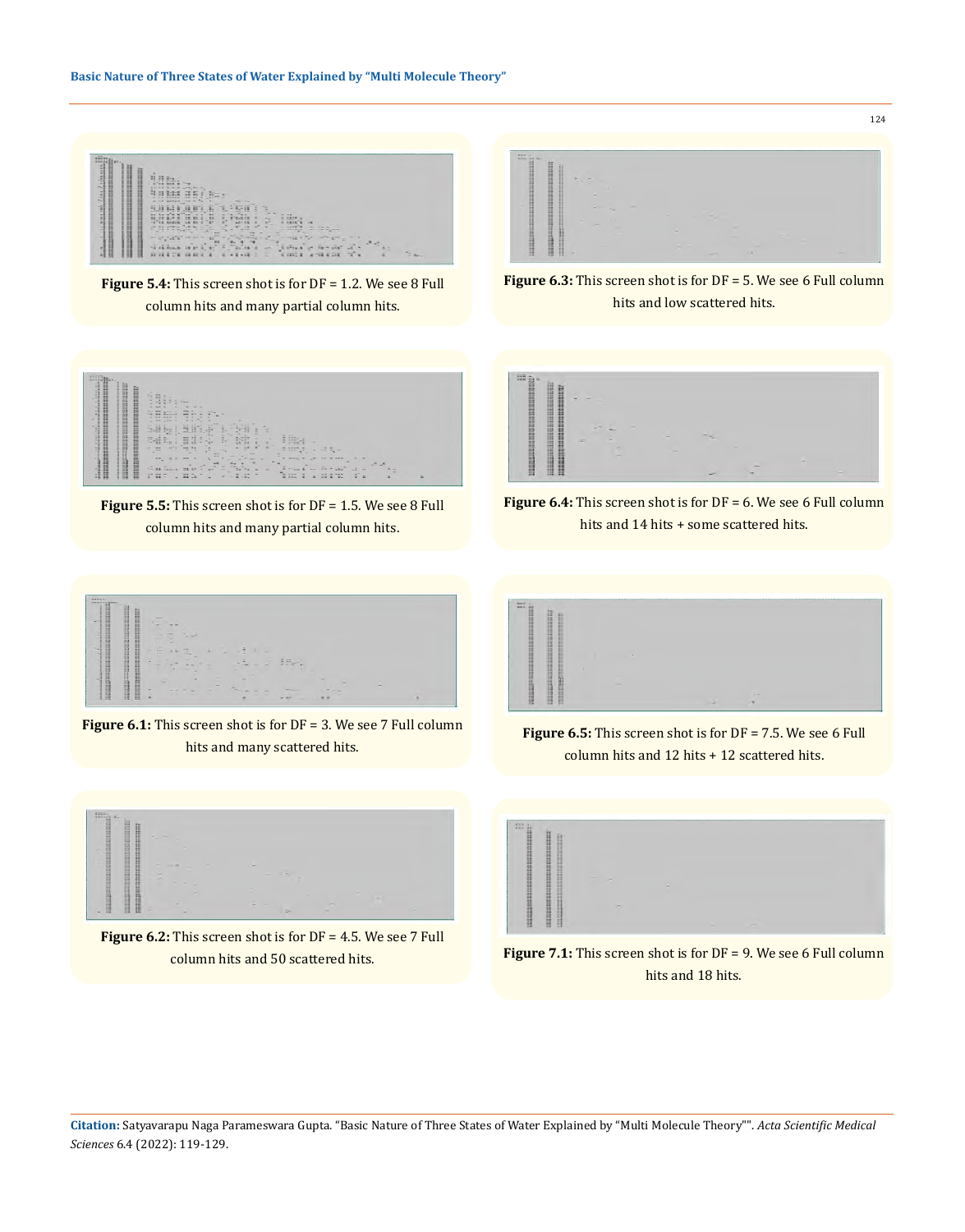

**Figure 5.4:** This screen shot is for DF = 1.2. We see 8 Full column hits and many partial column hits.



124

**Figure 6.3:** This screen shot is for DF = 5. We see 6 Full column hits and low scattered hits.



**Figure 5.5:** This screen shot is for DF = 1.5. We see 8 Full column hits and many partial column hits.



**Figure 6.4:** This screen shot is for DF = 6. We see 6 Full column hits and 14 hits + some scattered hits.



**Figure 6.1:** This screen shot is for DF = 3. We see 7 Full column hits and many scattered hits.



**Figure 6.5:** This screen shot is for DF = 7.5. We see 6 Full column hits and 12 hits + 12 scattered hits.



**Figure 6.2:** This screen shot is for DF = 4.5. We see 7 Full column hits and 50 scattered hits.



**Figure 7.1:** This screen shot is for DF = 9. We see 6 Full column hits and 18 hits.

**Citation:** Satyavarapu Naga Parameswara Gupta*.* "Basic Nature of Three States of Water Explained by "Multi Molecule Theory"". *Acta Scientific Medical Sciences* 6.4 (2022): 119-129.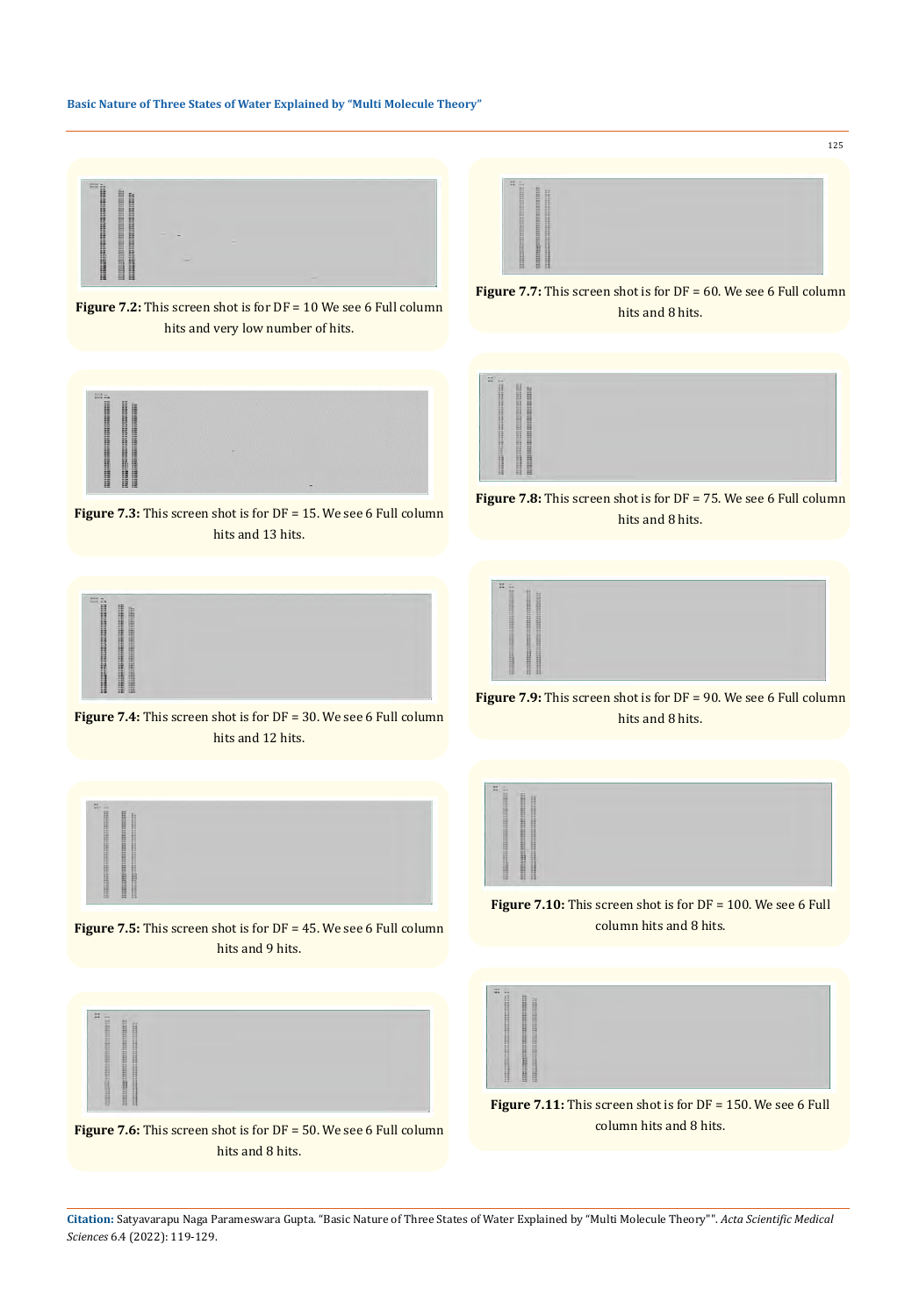### **Basic Nature of Three States of Water Explained by "Multi Molecule Theory"**



**Figure 7.2:** This screen shot is for DF = 10 We see 6 Full column hits and very low number of hits.



**Figure 7.3:** This screen shot is for DF = 15. We see 6 Full column hits and 13 hits.



**Figure 7.4:** This screen shot is for DF = 30. We see 6 Full column hits and 12 hits.



**Figure 7.5:** This screen shot is for DF = 45. We see 6 Full column hits and 9 hits.



**Figure 7.6:** This screen shot is for DF = 50. We see 6 Full column hits and 8 hits.



**Figure 7.7:** This screen shot is for DF = 60. We see 6 Full column hits and 8 hits.



**Figure 7.8:** This screen shot is for DF = 75. We see 6 Full column hits and 8 hits.



**Figure 7.9:** This screen shot is for DF = 90. We see 6 Full column hits and 8 hits.



**Figure 7.10:** This screen shot is for DF = 100. We see 6 Full column hits and 8 hits.



**Figure 7.11:** This screen shot is for DF = 150. We see 6 Full column hits and 8 hits.

**Citation:** Satyavarapu Naga Parameswara Gupta*.* "Basic Nature of Three States of Water Explained by "Multi Molecule Theory"". *Acta Scientific Medical Sciences* 6.4 (2022): 119-129.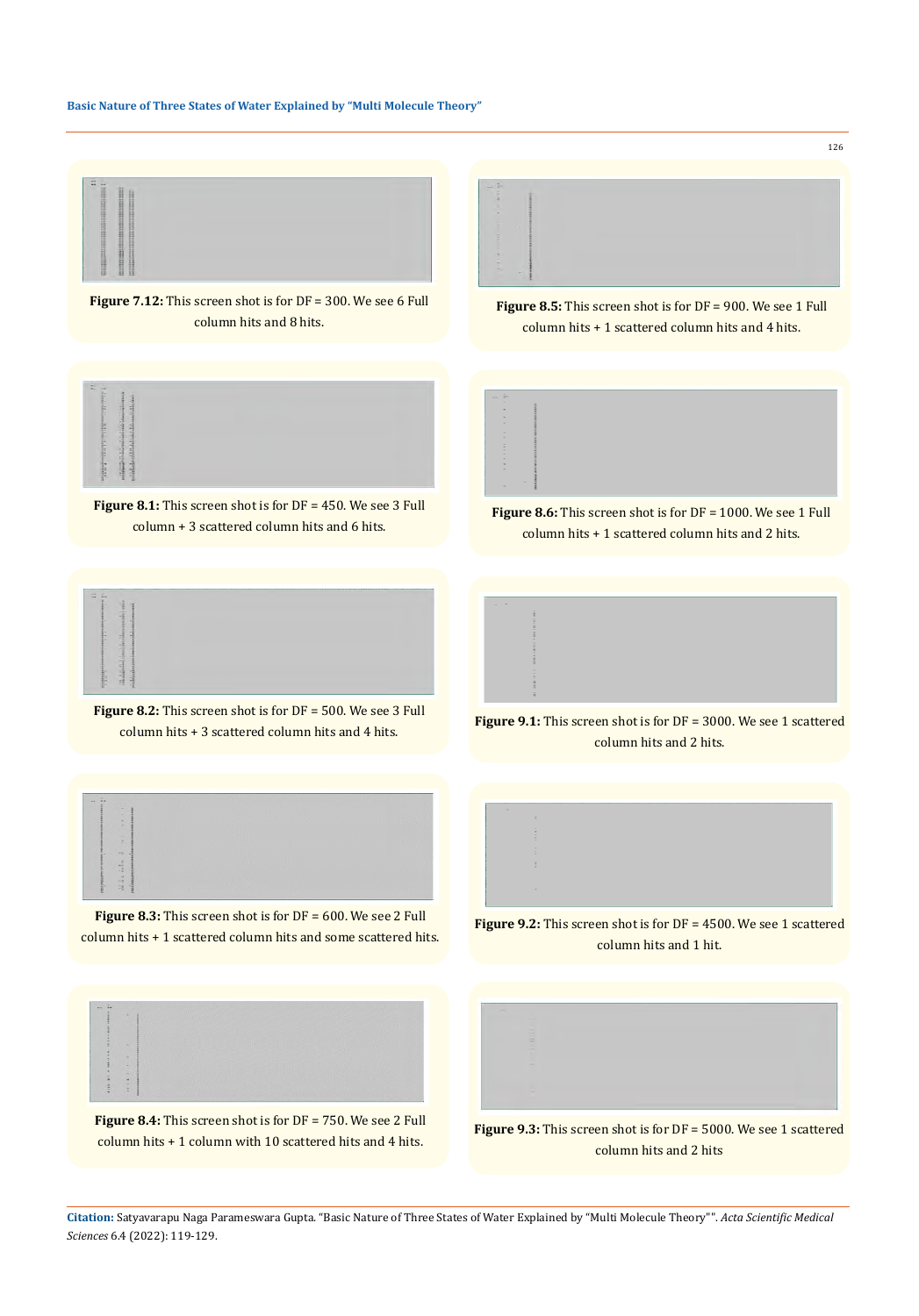## **Basic Nature of Three States of Water Explained by "Multi Molecule Theory"**



**Figure 7.12:** This screen shot is for DF = 300. We see 6 Full column hits and 8 hits.



**Figure 8.1:** This screen shot is for DF = 450. We see 3 Full column + 3 scattered column hits and 6 hits.



**Figure 8.2:** This screen shot is for DF = 500. We see 3 Full column hits + 3 scattered column hits and 4 hits.



**Figure 8.3:** This screen shot is for DF = 600. We see 2 Full column hits + 1 scattered column hits and some scattered hits.



**Figure 8.4:** This screen shot is for DF = 750. We see 2 Full column hits + 1 column with 10 scattered hits and 4 hits.



**Figure 8.5:** This screen shot is for DF = 900. We see 1 Full column hits + 1 scattered column hits and 4 hits.



**Figure 8.6:** This screen shot is for DF = 1000. We see 1 Full column hits + 1 scattered column hits and 2 hits.



**Figure 9.1:** This screen shot is for DF = 3000. We see 1 scattered column hits and 2 hits.



**Figure 9.2:** This screen shot is for DF = 4500. We see 1 scattered column hits and 1 hit.



**Figure 9.3:** This screen shot is for DF = 5000. We see 1 scattered column hits and 2 hits

**Citation:** Satyavarapu Naga Parameswara Gupta*.* "Basic Nature of Three States of Water Explained by "Multi Molecule Theory"". *Acta Scientific Medical Sciences* 6.4 (2022): 119-129.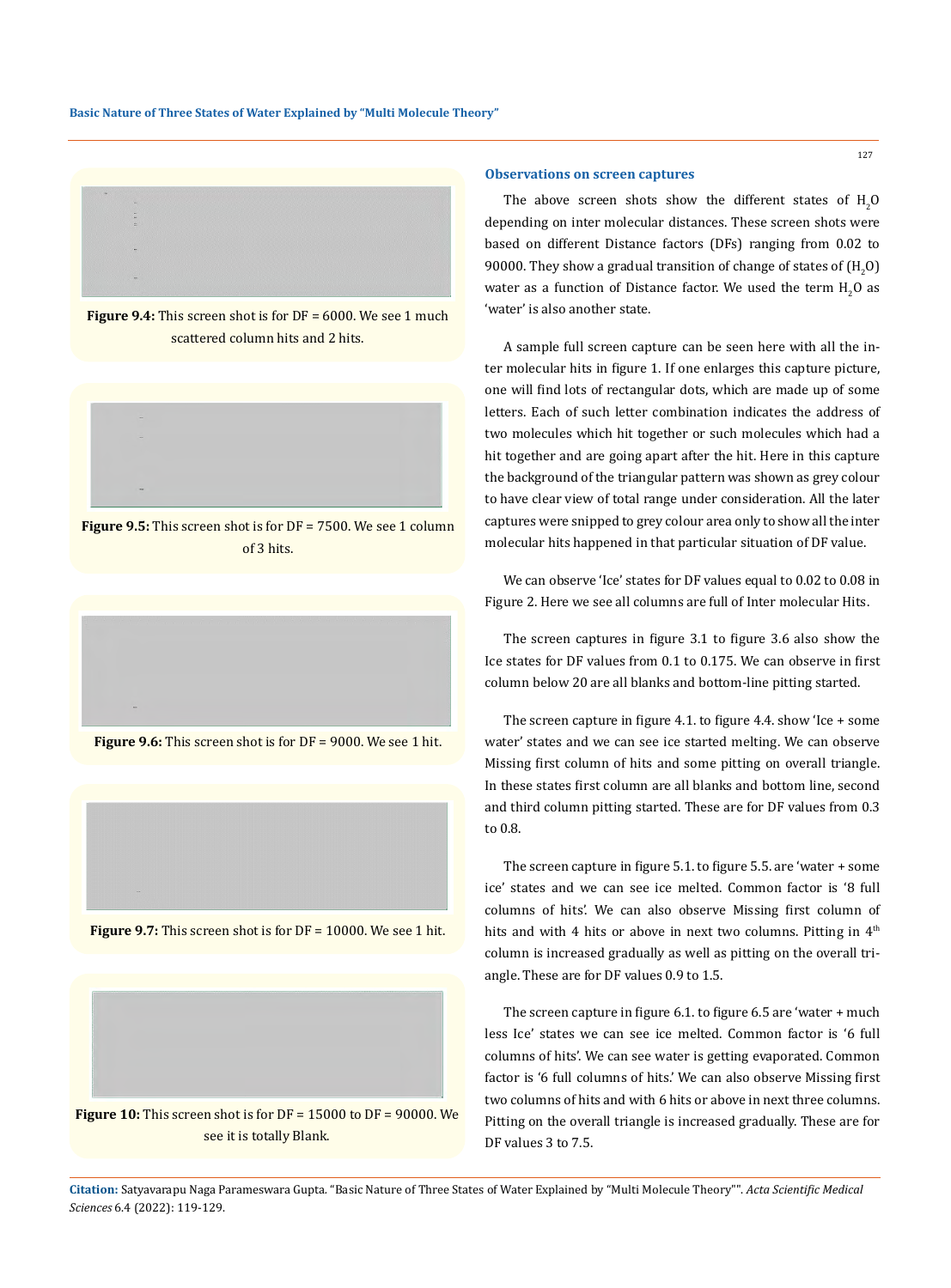

**Figure 9.4:** This screen shot is for DF = 6000. We see 1 much scattered column hits and 2 hits.



**Figure 9.5:** This screen shot is for DF = 7500. We see 1 column of 3 hits.



**Figure 9.6:** This screen shot is for DF = 9000. We see 1 hit.



**Figure 9.7:** This screen shot is for DF = 10000. We see 1 hit.



**Observations on screen captures**

The above screen shots show the different states of  $\rm H_2O$ depending on inter molecular distances. These screen shots were based on different Distance factors (DFs) ranging from 0.02 to 90000. They show a gradual transition of change of states of  $(\rm{H}_{2}O)$ water as a function of Distance factor. We used the term  $\rm{H}_{2}O$  as 'water' is also another state.

A sample full screen capture can be seen here with all the inter molecular hits in figure 1. If one enlarges this capture picture, one will find lots of rectangular dots, which are made up of some letters. Each of such letter combination indicates the address of two molecules which hit together or such molecules which had a hit together and are going apart after the hit. Here in this capture the background of the triangular pattern was shown as grey colour to have clear view of total range under consideration. All the later captures were snipped to grey colour area only to show all the inter molecular hits happened in that particular situation of DF value.

We can observe 'Ice' states for DF values equal to 0.02 to 0.08 in Figure 2. Here we see all columns are full of Inter molecular Hits.

The screen captures in figure 3.1 to figure 3.6 also show the Ice states for DF values from 0.1 to 0.175. We can observe in first column below 20 are all blanks and bottom-line pitting started.

The screen capture in figure 4.1. to figure 4.4. show 'Ice + some water' states and we can see ice started melting. We can observe Missing first column of hits and some pitting on overall triangle. In these states first column are all blanks and bottom line, second and third column pitting started. These are for DF values from 0.3 to 0.8.

The screen capture in figure 5.1. to figure 5.5. are 'water + some ice' states and we can see ice melted. Common factor is '8 full columns of hits'. We can also observe Missing first column of hits and with 4 hits or above in next two columns. Pitting in 4<sup>th</sup> column is increased gradually as well as pitting on the overall triangle. These are for DF values 0.9 to 1.5.

The screen capture in figure 6.1. to figure 6.5 are 'water + much less Ice' states we can see ice melted. Common factor is '6 full columns of hits'. We can see water is getting evaporated. Common factor is '6 full columns of hits.' We can also observe Missing first two columns of hits and with 6 hits or above in next three columns. Pitting on the overall triangle is increased gradually. These are for DF values 3 to 7.5.

see it is totally Blank.

**Citation:** Satyavarapu Naga Parameswara Gupta*.* "Basic Nature of Three States of Water Explained by "Multi Molecule Theory"". *Acta Scientific Medical Sciences* 6.4 (2022): 119-129.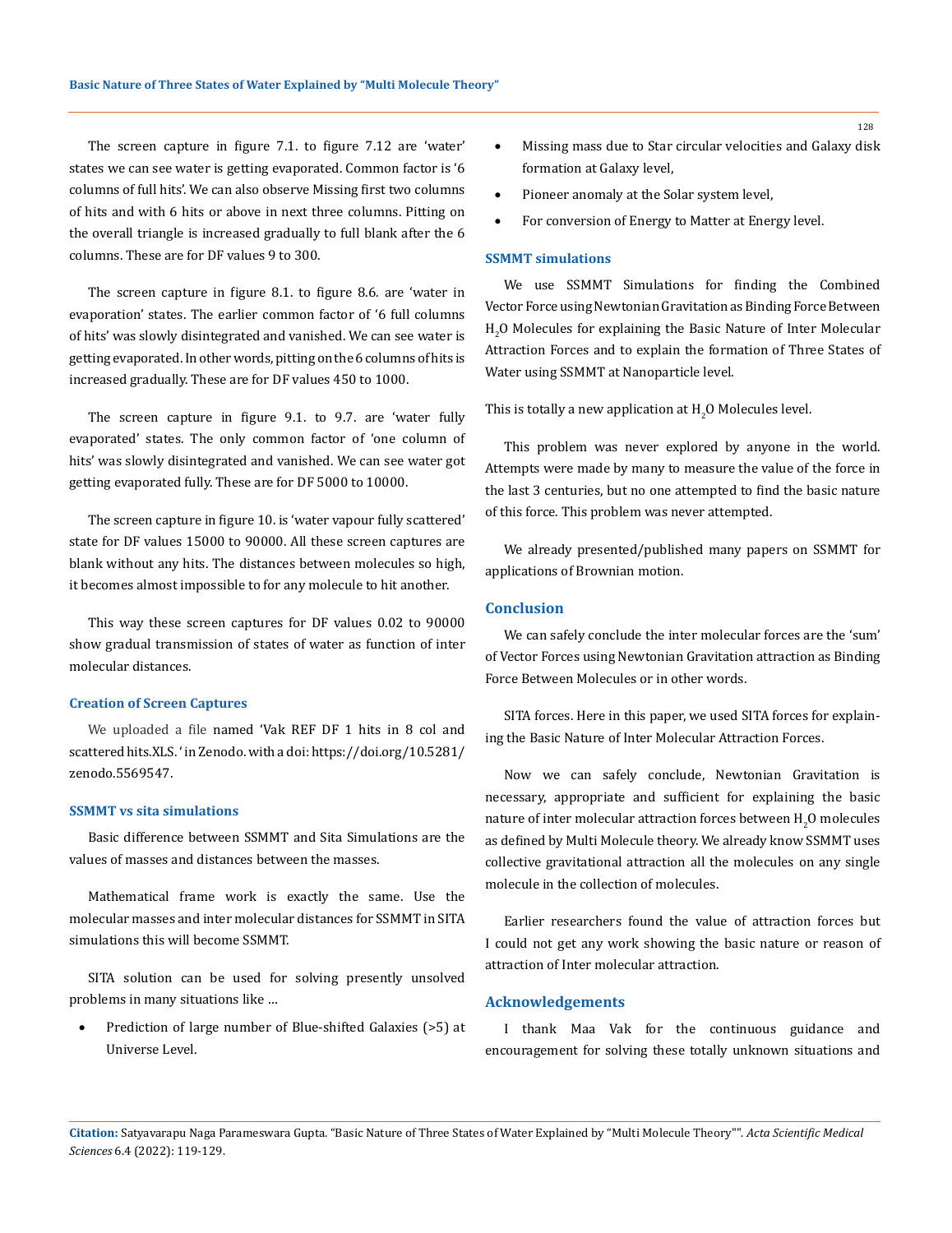The screen capture in figure 7.1. to figure 7.12 are 'water' states we can see water is getting evaporated. Common factor is '6 columns of full hits'. We can also observe Missing first two columns of hits and with 6 hits or above in next three columns. Pitting on the overall triangle is increased gradually to full blank after the 6 columns. These are for DF values 9 to 300.

The screen capture in figure 8.1. to figure 8.6. are 'water in evaporation' states. The earlier common factor of '6 full columns of hits' was slowly disintegrated and vanished. We can see water is getting evaporated. In other words, pitting on the 6 columns of hits is increased gradually. These are for DF values 450 to 1000.

The screen capture in figure 9.1. to 9.7. are 'water fully evaporated' states. The only common factor of 'one column of hits' was slowly disintegrated and vanished. We can see water got getting evaporated fully. These are for DF 5000 to 10000.

The screen capture in figure 10. is 'water vapour fully scattered' state for DF values 15000 to 90000. All these screen captures are blank without any hits. The distances between molecules so high, it becomes almost impossible to for any molecule to hit another.

This way these screen captures for DF values 0.02 to 90000 show gradual transmission of states of water as function of inter molecular distances.

### **Creation of Screen Captures**

We uploaded a file named 'Vak REF DF 1 hits in 8 col and scattered hits.XLS. ' in Zenodo. with a doi: [https://doi.org/10.5281/](https://doi.org/10.5281/zenodo.5569547) [zenodo.5569547](https://doi.org/10.5281/zenodo.5569547).

#### **SSMMT vs sita simulations**

Basic difference between SSMMT and Sita Simulations are the values of masses and distances between the masses.

Mathematical frame work is exactly the same. Use the molecular masses and inter molecular distances for SSMMT in SITA simulations this will become SSMMT.

SITA solution can be used for solving presently unsolved problems in many situations like …

Prediction of large number of Blue-shifted Galaxies (>5) at Universe Level.

- • Missing mass due to Star circular velocities and Galaxy disk formation at Galaxy level,
- Pioneer anomaly at the Solar system level,
- For conversion of Energy to Matter at Energy level.

#### **SSMMT simulations**

We use SSMMT Simulations for finding the Combined Vector Force using Newtonian Gravitation as Binding Force Between  $_{\rm H_2}$ O Molecules for explaining the Basic Nature of Inter Molecular Attraction Forces and to explain the formation of Three States of Water using SSMMT at Nanoparticle level.

This is totally a new application at  $\mathrm{H}_2\mathrm{O}$  Molecules level.

This problem was never explored by anyone in the world. Attempts were made by many to measure the value of the force in the last 3 centuries, but no one attempted to find the basic nature of this force. This problem was never attempted.

We already presented/published many papers on SSMMT for applications of Brownian motion.

#### **Conclusion**

We can safely conclude the inter molecular forces are the 'sum' of Vector Forces using Newtonian Gravitation attraction as Binding Force Between Molecules or in other words.

SITA forces. Here in this paper, we used SITA forces for explaining the Basic Nature of Inter Molecular Attraction Forces.

Now we can safely conclude, Newtonian Gravitation is necessary, appropriate and sufficient for explaining the basic nature of inter molecular attraction forces between  $\rm H_2O$  molecules as defined by Multi Molecule theory. We already know SSMMT uses collective gravitational attraction all the molecules on any single molecule in the collection of molecules.

Earlier researchers found the value of attraction forces but I could not get any work showing the basic nature or reason of attraction of Inter molecular attraction.

#### **Acknowledgements**

I thank Maa Vak for the continuous guidance and encouragement for solving these totally unknown situations and

**Citation:** Satyavarapu Naga Parameswara Gupta*.* "Basic Nature of Three States of Water Explained by "Multi Molecule Theory"". *Acta Scientific Medical Sciences* 6.4 (2022): 119-129.